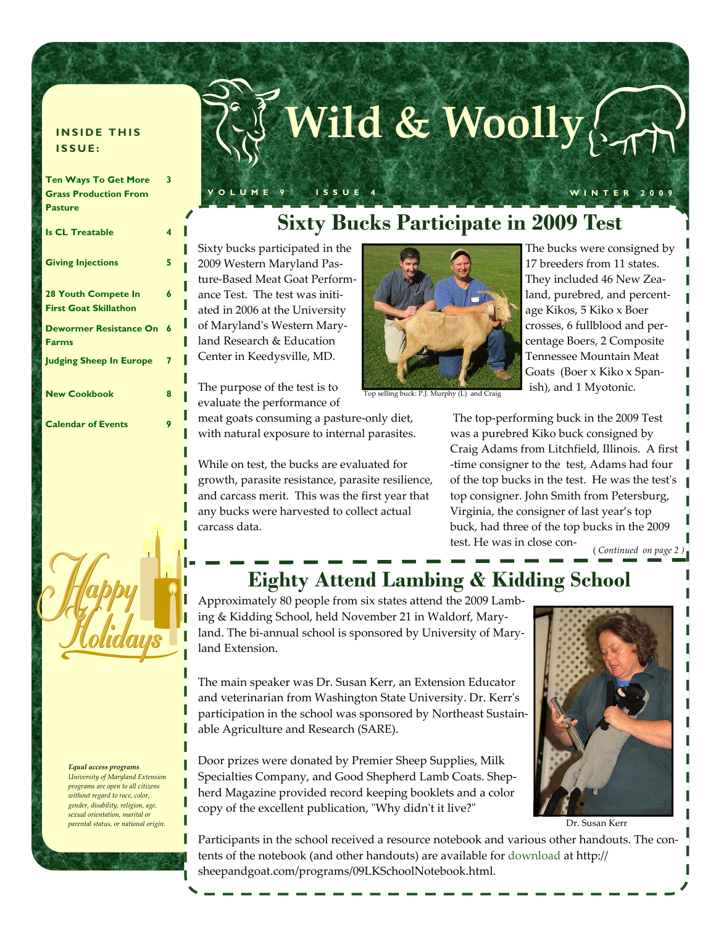#### **INSIDE THIS ISSUE:**

| <b>Ten Ways To Get More</b>                                | 3 |
|------------------------------------------------------------|---|
| <b>Grass Production From</b>                               |   |
| <b>Pasture</b>                                             |   |
| <b>Is CL Treatable</b>                                     | 4 |
| <b>Giving Injections</b>                                   | 5 |
| <b>28 Youth Compete In</b><br><b>First Goat Skillathon</b> | 6 |
| <b>Dewormer Resistance On</b><br><b>Farms</b>              | 6 |
| <b>Judging Sheep In Europe</b>                             | 7 |
| <b>New Cookbook</b>                                        | 8 |
| <b>Calendar of Events</b>                                  | 9 |



 *Equal access programs University of Maryland Extension programs are open to all citizens without regard to race, color, gender, disability, religion, age, sexual orientation, marital or parental status, or national origin.*

# **Wild & Woolly**

**VOLUME 9 ISSUE 4 WINTER 2009** 

# **Sixty Bucks Participate in 2009 Test**

Sixty bucks participated in the 2009 Western Maryland Pas‐ ture‐Based Meat Goat Perform‐ ance Test. The test was initi‐ ated in 2006 at the University of Marylandʹs Western Mary‐ land Research & Education Center in Keedysville, MD.

The purpose of the test is to evaluate the performance of

meat goats consuming a pasture‐only diet, with natural exposure to internal parasites.

While on test, the bucks are evaluated for growth, parasite resistance, parasite resilience, and carcass merit. This was the first year that any bucks were harvested to collect actual carcass data.



pp selling buck: P.J. Murphy (L) and Crai

The bucks were consigned by 17 breeders from 11 states. They included 46 New Zea‐ land, purebred, and percent‐ age Kikos, 5 Kiko x Boer crosses, 6 fullblood and per‐ centage Boers, 2 Composite Tennessee Mountain Meat Goats (Boer x Kiko x Span‐ ish), and 1 Myotonic.

The top‐performing buck in the 2009 Test was a purebred Kiko buck consigned by Craig Adams from Litchfield, Illinois. A first ‐time consigner to the test, Adams had four of the top bucks in the test. He was the testʹs top consigner. John Smith from Petersburg, Virginia, the consigner of last year's top buck, had three of the top bucks in the 2009 test. He was in close con‐ ( *Continued on page 2 )*

# **Eighty Attend Lambing & Kidding School**

Approximately 80 people from six states attend the 2009 Lamb‐ ing & Kidding School, held November 21 in Waldorf, Mary‐ land. The bi-annual school is sponsored by University of Maryland Extension.

The main speaker was Dr. Susan Kerr, an Extension Educator and veterinarian from Washington State University. Dr. Kerrʹs participation in the school was sponsored by Northeast Sustainable Agriculture and Research (SARE).

Door prizes were donated by Premier Sheep Supplies, Milk Specialties Company, and Good Shepherd Lamb Coats. Shepherd Magazine provided record keeping booklets and a color copy of the excellent publication, "Why didn't it live?"



Dr. Susan Kerr

Participants in the school received a resource notebook and various other handouts. The contents of the notebook (and other handouts) are available for download at http:// sheepandgoat.com/programs/09LKSchoolNotebook.html.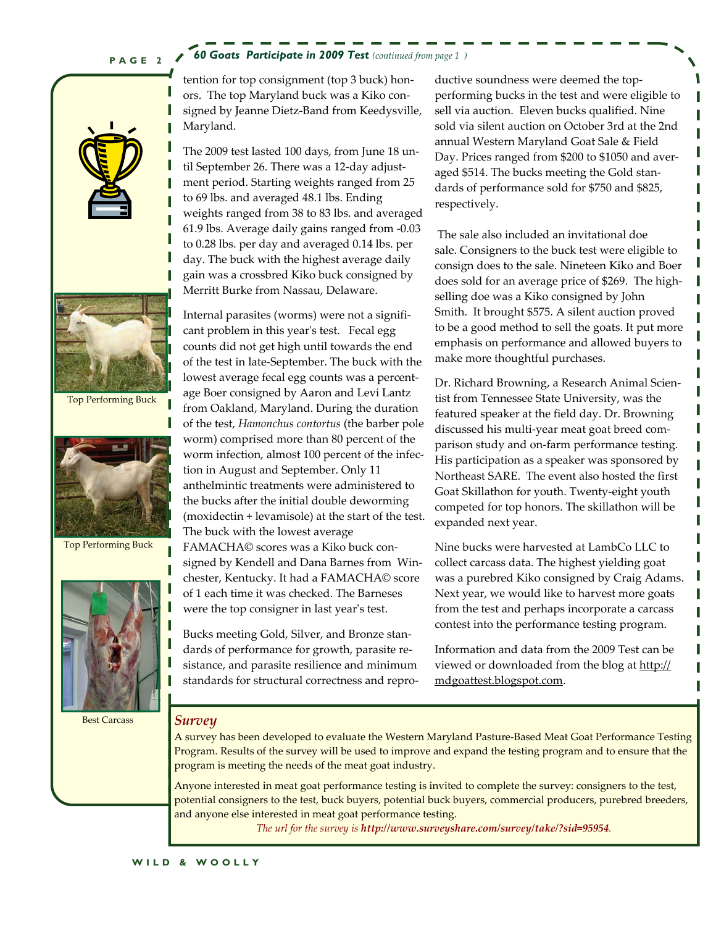### **PAGE 2**

#### *60 Goats Participate in 2009 Test (continued from page 1 )*





Top Performing Buck



Top Performing Buck



tention for top consignment (top 3 buck) hon‐ ors. The top Maryland buck was a Kiko con‐ signed by Jeanne Dietz‐Band from Keedysville, Maryland.

The 2009 test lasted 100 days, from June 18 un‐ til September 26. There was a 12‐day adjust‐ ment period. Starting weights ranged from 25 to 69 lbs. and averaged 48.1 lbs. Ending weights ranged from 38 to 83 lbs. and averaged 61.9 lbs. Average daily gains ranged from ‐0.03 to 0.28 lbs. per day and averaged 0.14 lbs. per day. The buck with the highest average daily gain was a crossbred Kiko buck consigned by Merritt Burke from Nassau, Delaware.

Internal parasites (worms) were not a signifi‐ cant problem in this year's test. Fecal egg counts did not get high until towards the end of the test in late‐September. The buck with the lowest average fecal egg counts was a percent‐ age Boer consigned by Aaron and Levi Lantz from Oakland, Maryland. During the duration of the test, *Hamonchus contortus* (the barber pole worm) comprised more than 80 percent of the worm infection, almost 100 percent of the infection in August and September. Only 11 anthelmintic treatments were administered to the bucks after the initial double deworming (moxidectin + levamisole) at the start of the test. The buck with the lowest average FAMACHA© scores was a Kiko buck con‐ signed by Kendell and Dana Barnes from Win‐ chester, Kentucky. It had a FAMACHA© score

were the top consigner in last year's test. Bucks meeting Gold, Silver, and Bronze stan‐ dards of performance for growth, parasite re‐ sistance, and parasite resilience and minimum standards for structural correctness and repro‐

of 1 each time it was checked. The Barneses

ductive soundness were deemed the top‐ performing bucks in the test and were eligible to sell via auction. Eleven bucks qualified. Nine sold via silent auction on October 3rd at the 2nd annual Western Maryland Goat Sale & Field Day. Prices ranged from \$200 to \$1050 and aver‐ aged \$514. The bucks meeting the Gold stan‐ dards of performance sold for \$750 and \$825, respectively.

The sale also included an invitational doe sale. Consigners to the buck test were eligible to consign does to the sale. Nineteen Kiko and Boer does sold for an average price of \$269. The high‐ selling doe was a Kiko consigned by John Smith. It brought \$575. A silent auction proved to be a good method to sell the goats. It put more emphasis on performance and allowed buyers to make more thoughtful purchases.

Dr. Richard Browning, a Research Animal Scien‐ tist from Tennessee State University, was the featured speaker at the field day. Dr. Browning discussed his multi‐year meat goat breed com‐ parison study and on‐farm performance testing. His participation as a speaker was sponsored by Northeast SARE. The event also hosted the first Goat Skillathon for youth. Twenty‐eight youth competed for top honors. The skillathon will be expanded next year.

Nine bucks were harvested at LambCo LLC to collect carcass data. The highest yielding goat was a purebred Kiko consigned by Craig Adams. Next year, we would like to harvest more goats from the test and perhaps incorporate a carcass contest into the performance testing program.

Information and data from the 2009 Test can be viewed or downloaded from the blog at http:// mdgoattest.blogspot.com.

#### Best Carcass *Survey*

A survey has been developed to evaluate the Western Maryland Pasture‐Based Meat Goat Performance Testing Program. Results of the survey will be used to improve and expand the testing program and to ensure that the program is meeting the needs of the meat goat industry.

Anyone interested in meat goat performance testing is invited to complete the survey: consigners to the test, potential consigners to the test, buck buyers, potential buck buyers, commercial producers, purebred breeders, and anyone else interested in meat goat performance testing.

*The url for the survey is http://www.surveyshare.com/survey/take/?sid=95954.*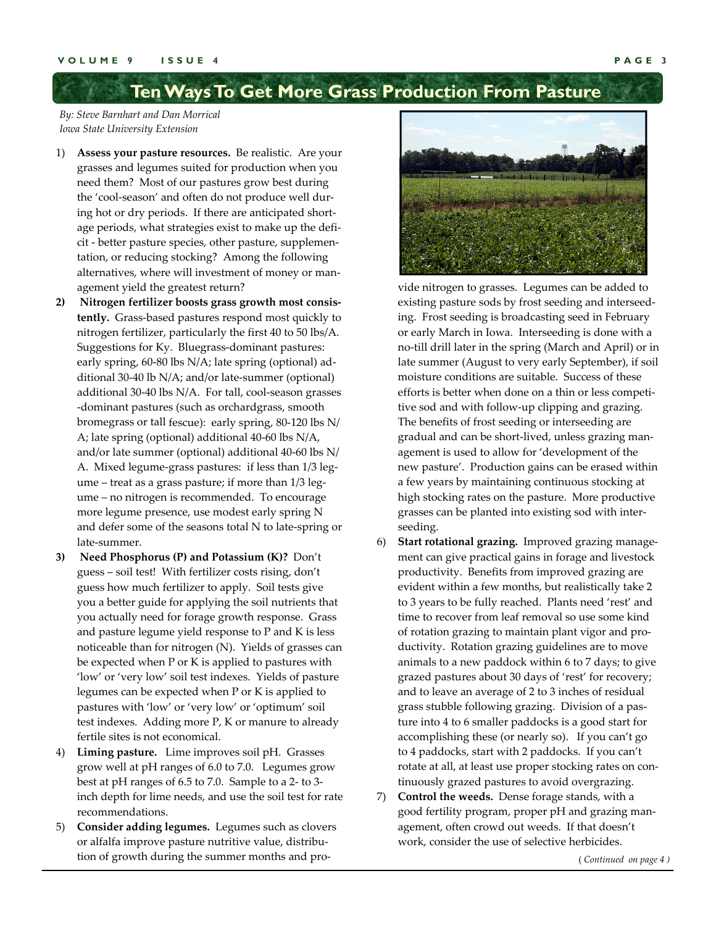# **Ten Ways To Get More Grass Production From Pasture**

*By: Steve Barnhart and Dan Morrical Iowa State University Extension* 

- 1) **Assess your pasture resources.** Be realistic. Are your grasses and legumes suited for production when you need them? Most of our pastures grow best during the 'cool-season' and often do not produce well during hot or dry periods. If there are anticipated short‐ age periods, what strategies exist to make up the deficit ‐ better pasture species, other pasture, supplemen‐ tation, or reducing stocking? Among the following alternatives, where will investment of money or man‐ agement yield the greatest return?
- **2) Nitrogen fertilizer boosts grass growth most consis‐** tently. Grass-based pastures respond most quickly to nitrogen fertilizer, particularly the first 40 to 50 lbs/A. Suggestions for Ky. Bluegrass‐dominant pastures: early spring, 60‐80 lbs N/A; late spring (optional) ad‐ ditional 30‐40 lb N/A; and/or late‐summer (optional) additional 30‐40 lbs N/A. For tall, cool‐season grasses ‐dominant pastures (such as orchardgrass, smooth bromegrass or tall fescue): early spring, 80‐120 lbs N/ A; late spring (optional) additional 40‐60 lbs N/A, and/or late summer (optional) additional 40‐60 lbs N/ A. Mixed legume-grass pastures: if less than 1/3 legume – treat as a grass pasture; if more than 1/3 legume – no nitrogen is recommended. To encourage more legume presence, use modest early spring N and defer some of the seasons total N to late‐spring or late‐summer.
- **3) Need Phosphorus (P) and Potassium (K)?** Don't guess – soil test! With fertilizer costs rising, don't guess how much fertilizer to apply. Soil tests give you a better guide for applying the soil nutrients that you actually need for forage growth response. Grass and pasture legume yield response to P and K is less noticeable than for nitrogen (N). Yields of grasses can be expected when P or K is applied to pastures with 'low' or 'very low' soil test indexes. Yields of pasture legumes can be expected when P or K is applied to pastures with 'low' or 'very low' or 'optimum' soil test indexes. Adding more P, K or manure to already fertile sites is not economical.
- 4) **Liming pasture.** Lime improves soil pH. Grasses grow well at pH ranges of 6.0 to 7.0. Legumes grow best at pH ranges of 6.5 to 7.0. Sample to a 2‐ to 3‐ inch depth for lime needs, and use the soil test for rate recommendations.
- 5) **Consider adding legumes.** Legumes such as clovers or alfalfa improve pasture nutritive value, distribu‐ tion of growth during the summer months and pro‐



vide nitrogen to grasses. Legumes can be added to existing pasture sods by frost seeding and interseed‐ ing. Frost seeding is broadcasting seed in February or early March in Iowa. Interseeding is done with a no‐till drill later in the spring (March and April) or in late summer (August to very early September), if soil moisture conditions are suitable. Success of these efforts is better when done on a thin or less competi‐ tive sod and with follow‐up clipping and grazing. The benefits of frost seeding or interseeding are gradual and can be short‐lived, unless grazing man‐ agement is used to allow for 'development of the new pasture'. Production gains can be erased within a few years by maintaining continuous stocking at high stocking rates on the pasture. More productive grasses can be planted into existing sod with inter‐ seeding.

- 6) **Start rotational grazing.** Improved grazing manage‐ ment can give practical gains in forage and livestock productivity. Benefits from improved grazing are evident within a few months, but realistically take 2 to 3 years to be fully reached. Plants need 'rest' and time to recover from leaf removal so use some kind of rotation grazing to maintain plant vigor and pro‐ ductivity. Rotation grazing guidelines are to move animals to a new paddock within 6 to 7 days; to give grazed pastures about 30 days of 'rest' for recovery; and to leave an average of 2 to 3 inches of residual grass stubble following grazing. Division of a pas‐ ture into 4 to 6 smaller paddocks is a good start for accomplishing these (or nearly so). If you can't go to 4 paddocks, start with 2 paddocks. If you can't rotate at all, at least use proper stocking rates on con‐ tinuously grazed pastures to avoid overgrazing.
- 7) **Control the weeds.** Dense forage stands, with a good fertility program, proper pH and grazing man‐ agement, often crowd out weeds. If that doesn't work, consider the use of selective herbicides.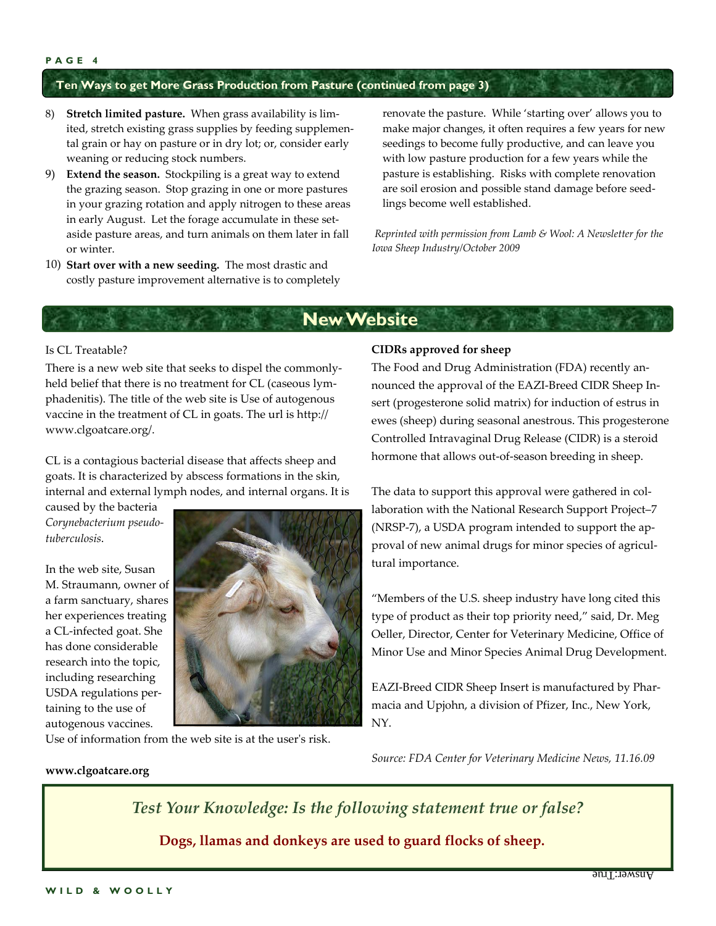## **Ten Ways to get More Grass Production from Pasture (continued from page 3)**

- 8) **Stretch limited pasture.** When grass availability is lim‐ ited, stretch existing grass supplies by feeding supplemen‐ tal grain or hay on pasture or in dry lot; or, consider early weaning or reducing stock numbers.
- 9) **Extend the season.** Stockpiling is a great way to extend the grazing season. Stop grazing in one or more pastures in your grazing rotation and apply nitrogen to these areas in early August. Let the forage accumulate in these setaside pasture areas, and turn animals on them later in fall or winter.
- 10) **Start over with a new seeding.** The most drastic and costly pasture improvement alternative is to completely

renovate the pasture. While 'starting over' allows you to make major changes, it often requires a few years for new seedings to become fully productive, and can leave you with low pasture production for a few years while the pasture is establishing. Risks with complete renovation are soil erosion and possible stand damage before seed‐ lings become well established.

 *Reprinted with permission from Lamb & Wool: A Newsletter for the Iowa Sheep Industry/October 2009* 

# **New Website**

#### Is CL Treatable?

There is a new web site that seeks to dispel the commonly‐ held belief that there is no treatment for CL (caseous lymphadenitis). The title of the web site is Use of autogenous vaccine in the treatment of CL in goats. The url is http:// www.clgoatcare.org/.

CL is a contagious bacterial disease that affects sheep and goats. It is characterized by abscess formations in the skin, internal and external lymph nodes, and internal organs. It is

caused by the bacteria *Corynebacterium pseudo‐ tuberculosis*.

In the web site, Susan M. Straumann, owner of a farm sanctuary, shares her experiences treating a CL‐infected goat. She has done considerable research into the topic, including researching USDA regulations per‐ taining to the use of autogenous vaccines.

**www.clgoatcare.org**



Use of information from the web site is at the user's risk.

#### **CIDRs approved for sheep**

The Food and Drug Administration (FDA) recently an‐ nounced the approval of the EAZI‐Breed CIDR Sheep In‐ sert (progesterone solid matrix) for induction of estrus in ewes (sheep) during seasonal anestrous. This progesterone Controlled Intravaginal Drug Release (CIDR) is a steroid hormone that allows out‐of‐season breeding in sheep.

The data to support this approval were gathered in collaboration with the National Research Support Project–7 (NRSP‐7), a USDA program intended to support the ap‐ proval of new animal drugs for minor species of agricul‐ tural importance.

"Members of the U.S. sheep industry have long cited this type of product as their top priority need," said, Dr. Meg Oeller, Director, Center for Veterinary Medicine, Office of Minor Use and Minor Species Animal Drug Development.

EAZI‐Breed CIDR Sheep Insert is manufactured by Phar‐ macia and Upjohn, a division of Pfizer, Inc., New York, NY.

*Source: FDA Center for Veterinary Medicine News, 11.16.09*

*Test Your Knowledge: Is the following statement true or false?*

 **Dogs, llamas and donkeys are used to guard flocks of sheep.**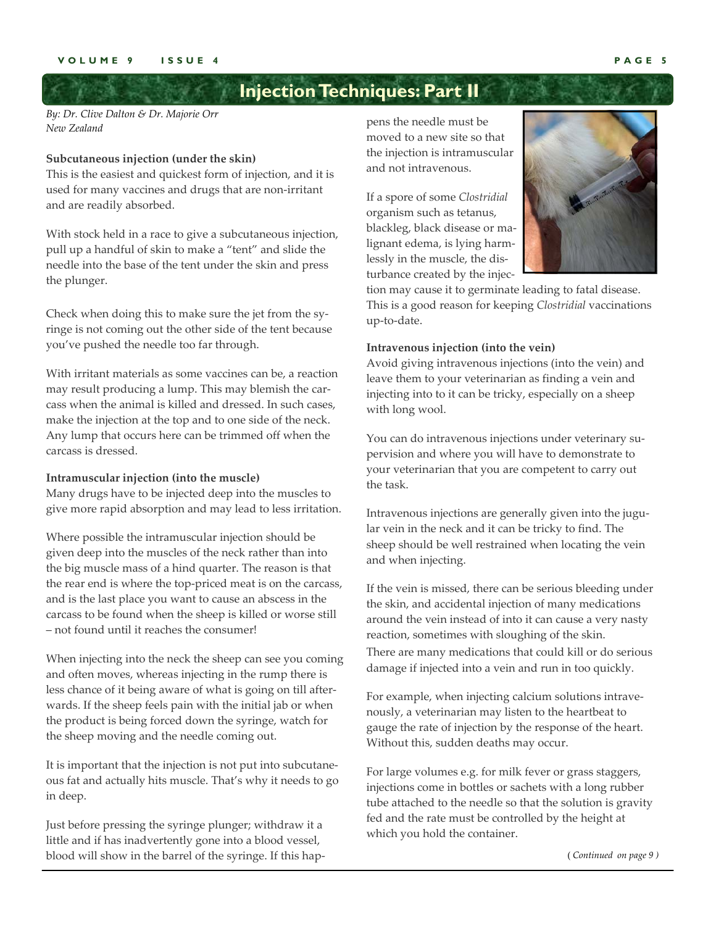# **Injection Techniques: Part II**

*By: Dr. Clive Dalton & Dr. Majorie Orr New Zealand*

#### **Subcutaneous injection (under the skin)**

This is the easiest and quickest form of injection, and it is used for many vaccines and drugs that are non‐irritant and are readily absorbed.

With stock held in a race to give a subcutaneous injection, pull up a handful of skin to make a "tent" and slide the needle into the base of the tent under the skin and press the plunger.

Check when doing this to make sure the jet from the sy‐ ringe is not coming out the other side of the tent because you've pushed the needle too far through.

With irritant materials as some vaccines can be, a reaction may result producing a lump. This may blemish the carcass when the animal is killed and dressed. In such cases, make the injection at the top and to one side of the neck. Any lump that occurs here can be trimmed off when the carcass is dressed.

#### **Intramuscular injection (into the muscle)**

Many drugs have to be injected deep into the muscles to give more rapid absorption and may lead to less irritation.

Where possible the intramuscular injection should be given deep into the muscles of the neck rather than into the big muscle mass of a hind quarter. The reason is that the rear end is where the top-priced meat is on the carcass, and is the last place you want to cause an abscess in the carcass to be found when the sheep is killed or worse still – not found until it reaches the consumer!

When injecting into the neck the sheep can see you coming and often moves, whereas injecting in the rump there is less chance of it being aware of what is going on till after‐ wards. If the sheep feels pain with the initial jab or when the product is being forced down the syringe, watch for the sheep moving and the needle coming out.

It is important that the injection is not put into subcutane‐ ous fat and actually hits muscle. That's why it needs to go in deep.

Just before pressing the syringe plunger; withdraw it a little and if has inadvertently gone into a blood vessel, blood will show in the barrel of the syringe. If this hap‐ pens the needle must be moved to a new site so that the injection is intramuscular and not intravenous.

If a spore of some *Clostridial* organism such as tetanus, blackleg, black disease or ma‐ lignant edema, is lying harm‐ lessly in the muscle, the dis‐ turbance created by the injec-



tion may cause it to germinate leading to fatal disease. This is a good reason for keeping *Clostridial* vaccinations up‐to‐date.

#### **Intravenous injection (into the vein)**

Avoid giving intravenous injections (into the vein) and leave them to your veterinarian as finding a vein and injecting into to it can be tricky, especially on a sheep with long wool.

You can do intravenous injections under veterinary supervision and where you will have to demonstrate to your veterinarian that you are competent to carry out the task.

Intravenous injections are generally given into the jugular vein in the neck and it can be tricky to find. The sheep should be well restrained when locating the vein and when injecting.

If the vein is missed, there can be serious bleeding under the skin, and accidental injection of many medications around the vein instead of into it can cause a very nasty reaction, sometimes with sloughing of the skin. There are many medications that could kill or do serious damage if injected into a vein and run in too quickly.

For example, when injecting calcium solutions intravenously, a veterinarian may listen to the heartbeat to gauge the rate of injection by the response of the heart. Without this, sudden deaths may occur.

For large volumes e.g. for milk fever or grass staggers, injections come in bottles or sachets with a long rubber tube attached to the needle so that the solution is gravity fed and the rate must be controlled by the height at which you hold the container.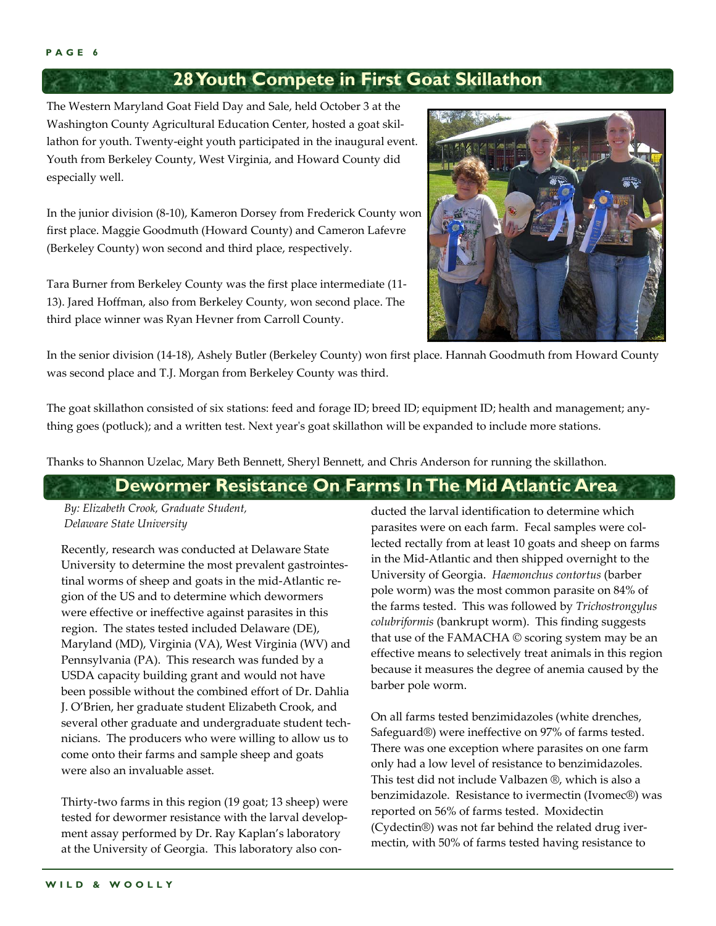# **28 Youth Compete in First Goat Skillathon**

The Western Maryland Goat Field Day and Sale, held October 3 at the Washington County Agricultural Education Center, hosted a goat skil‐ lathon for youth. Twenty‐eight youth participated in the inaugural event. Youth from Berkeley County, West Virginia, and Howard County did especially well.

In the junior division (8‐10), Kameron Dorsey from Frederick County won first place. Maggie Goodmuth (Howard County) and Cameron Lafevre (Berkeley County) won second and third place, respectively.

Tara Burner from Berkeley County was the first place intermediate (11‐ 13). Jared Hoffman, also from Berkeley County, won second place. The third place winner was Ryan Hevner from Carroll County.



In the senior division (14‐18), Ashely Butler (Berkeley County) won first place. Hannah Goodmuth from Howard County was second place and T.J. Morgan from Berkeley County was third.

The goat skillathon consisted of six stations: feed and forage ID; breed ID; equipment ID; health and management; any‐ thing goes (potluck); and a written test. Next yearʹs goat skillathon will be expanded to include more stations.

Thanks to Shannon Uzelac, Mary Beth Bennett, Sheryl Bennett, and Chris Anderson for running the skillathon.

# **Dewormer Resistance On Farms In The Mid Atlantic Area**

*By: Elizabeth Crook, Graduate Student, Delaware State University*

Recently, research was conducted at Delaware State University to determine the most prevalent gastrointes‐ tinal worms of sheep and goats in the mid‐Atlantic re‐ gion of the US and to determine which dewormers were effective or ineffective against parasites in this region. The states tested included Delaware (DE), Maryland (MD), Virginia (VA), West Virginia (WV) and Pennsylvania (PA). This research was funded by a USDA capacity building grant and would not have been possible without the combined effort of Dr. Dahlia J. O'Brien, her graduate student Elizabeth Crook, and several other graduate and undergraduate student technicians. The producers who were willing to allow us to come onto their farms and sample sheep and goats were also an invaluable asset.

Thirty‐two farms in this region (19 goat; 13 sheep) were tested for dewormer resistance with the larval development assay performed by Dr. Ray Kaplan's laboratory at the University of Georgia. This laboratory also con‐

ducted the larval identification to determine which parasites were on each farm. Fecal samples were collected rectally from at least 10 goats and sheep on farms in the Mid‐Atlantic and then shipped overnight to the University of Georgia. *Haemonchus contortus* (barber pole worm) was the most common parasite on 84% of the farms tested. This was followed by *Trichostrongylus colubriformis* (bankrupt worm). This finding suggests that use of the FAMACHA © scoring system may be an effective means to selectively treat animals in this region because it measures the degree of anemia caused by the barber pole worm.

On all farms tested benzimidazoles (white drenches, Safeguard®) were ineffective on 97% of farms tested. There was one exception where parasites on one farm only had a low level of resistance to benzimidazoles. This test did not include Valbazen ®, which is also a benzimidazole. Resistance to ivermectin (Ivomec®) was reported on 56% of farms tested. Moxidectin (Cydectin®) was not far behind the related drug iver‐ mectin, with 50% of farms tested having resistance to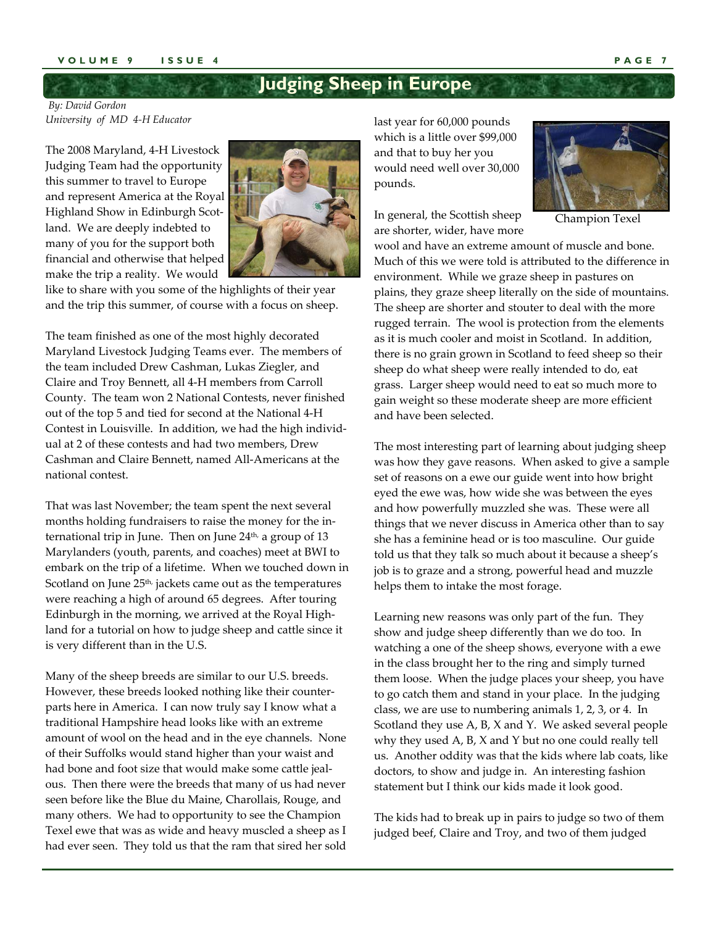#### **VOLUME 9 ISSUE 4 PAGE 7**

# **Judging Sheep in Europe**

*By: David Gordon University of MD 4‐H Educator*

The 2008 Maryland, 4‐H Livestock Judging Team had the opportunity this summer to travel to Europe and represent America at the Royal Highland Show in Edinburgh Scot‐ land. We are deeply indebted to many of you for the support both financial and otherwise that helped make the trip a reality. We would



like to share with you some of the highlights of their year and the trip this summer, of course with a focus on sheep.

The team finished as one of the most highly decorated Maryland Livestock Judging Teams ever. The members of the team included Drew Cashman, Lukas Ziegler, and Claire and Troy Bennett, all 4‐H members from Carroll County. The team won 2 National Contests, never finished out of the top 5 and tied for second at the National 4‐H Contest in Louisville. In addition, we had the high individ‐ ual at 2 of these contests and had two members, Drew Cashman and Claire Bennett, named All‐Americans at the national contest.

That was last November; the team spent the next several months holding fundraisers to raise the money for the in‐ ternational trip in June. Then on June  $24<sup>th</sup>$ , a group of 13 Marylanders (youth, parents, and coaches) meet at BWI to embark on the trip of a lifetime. When we touched down in Scotland on June  $25<sup>th</sup>$ , jackets came out as the temperatures were reaching a high of around 65 degrees. After touring Edinburgh in the morning, we arrived at the Royal High‐ land for a tutorial on how to judge sheep and cattle since it is very different than in the U.S.

Many of the sheep breeds are similar to our U.S. breeds. However, these breeds looked nothing like their counter‐ parts here in America. I can now truly say I know what a traditional Hampshire head looks like with an extreme amount of wool on the head and in the eye channels. None of their Suffolks would stand higher than your waist and had bone and foot size that would make some cattle jeal‐ ous. Then there were the breeds that many of us had never seen before like the Blue du Maine, Charollais, Rouge, and many others. We had to opportunity to see the Champion Texel ewe that was as wide and heavy muscled a sheep as I had ever seen. They told us that the ram that sired her sold last year for 60,000 pounds which is a little over \$99,000 and that to buy her you would need well over 30,000 pounds.

In general, the Scottish sheep are shorter, wider, have more



Champion Texel

wool and have an extreme amount of muscle and bone. Much of this we were told is attributed to the difference in environment. While we graze sheep in pastures on plains, they graze sheep literally on the side of mountains. The sheep are shorter and stouter to deal with the more rugged terrain. The wool is protection from the elements as it is much cooler and moist in Scotland. In addition, there is no grain grown in Scotland to feed sheep so their sheep do what sheep were really intended to do, eat grass. Larger sheep would need to eat so much more to gain weight so these moderate sheep are more efficient and have been selected.

The most interesting part of learning about judging sheep was how they gave reasons. When asked to give a sample set of reasons on a ewe our guide went into how bright eyed the ewe was, how wide she was between the eyes and how powerfully muzzled she was. These were all things that we never discuss in America other than to say she has a feminine head or is too masculine. Our guide told us that they talk so much about it because a sheep's job is to graze and a strong, powerful head and muzzle helps them to intake the most forage.

Learning new reasons was only part of the fun. They show and judge sheep differently than we do too. In watching a one of the sheep shows, everyone with a ewe in the class brought her to the ring and simply turned them loose. When the judge places your sheep, you have to go catch them and stand in your place. In the judging class, we are use to numbering animals 1, 2, 3, or 4. In Scotland they use A, B, X and Y. We asked several people why they used A, B, X and Y but no one could really tell us. Another oddity was that the kids where lab coats, like doctors, to show and judge in. An interesting fashion statement but I think our kids made it look good.

The kids had to break up in pairs to judge so two of them judged beef, Claire and Troy, and two of them judged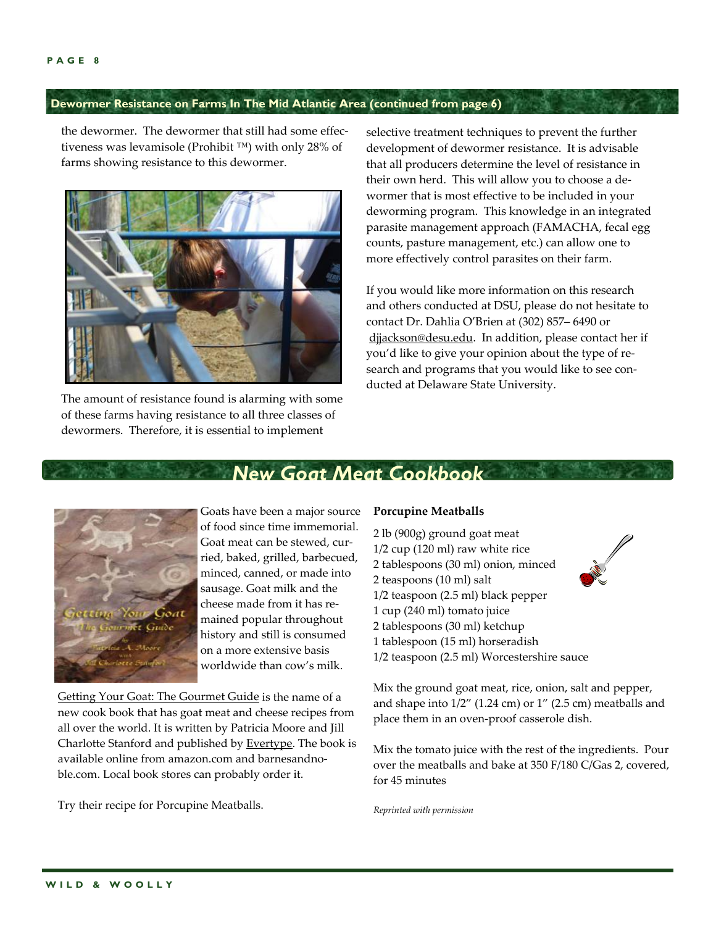## **Dewormer Resistance on Farms In The Mid Atlantic Area (continued from page 6)**

the dewormer. The dewormer that still had some effec‐ tiveness was levamisole (Prohibit ™) with only 28% of farms showing resistance to this dewormer.



The amount of resistance found is alarming with some of these farms having resistance to all three classes of dewormers. Therefore, it is essential to implement

selective treatment techniques to prevent the further development of dewormer resistance. It is advisable that all producers determine the level of resistance in their own herd. This will allow you to choose a de‐ wormer that is most effective to be included in your deworming program. This knowledge in an integrated parasite management approach (FAMACHA, fecal egg counts, pasture management, etc.) can allow one to more effectively control parasites on their farm.

If you would like more information on this research and others conducted at DSU, please do not hesitate to contact Dr. Dahlia O'Brien at (302) 857– 6490 or dijackson@desu.edu. In addition, please contact her if you'd like to give your opinion about the type of re‐ search and programs that you would like to see conducted at Delaware State University.



Goats have been a major source of food since time immemorial. Goat meat can be stewed, cur‐ ried, baked, grilled, barbecued, minced, canned, or made into sausage. Goat milk and the cheese made from it has re‐ mained popular throughout history and still is consumed on a more extensive basis worldwide than cow's milk.

Getting Your Goat: The Gourmet Guide is the name of a new cook book that has goat meat and cheese recipes from all over the world. It is written by Patricia Moore and Jill Charlotte Stanford and published by Evertype. The book is available online from amazon.com and barnesandno‐ ble.com. Local book stores can probably order it.

Try their recipe for Porcupine Meatballs.

#### **Porcupine Meatballs**

*New Goat Meat Cookbook* 

 lb (900g) ground goat meat 1/2 cup (120 ml) raw white rice tablespoons (30 ml) onion, minced teaspoons (10 ml) salt 1/2 teaspoon (2.5 ml) black pepper cup (240 ml) tomato juice tablespoons (30 ml) ketchup tablespoon (15 ml) horseradish 1/2 teaspoon (2.5 ml) Worcestershire sauce

Mix the ground goat meat, rice, onion, salt and pepper, and shape into 1/2" (1.24 cm) or 1" (2.5 cm) meatballs and place them in an oven‐proof casserole dish.

Mix the tomato juice with the rest of the ingredients. Pour over the meatballs and bake at 350 F/180 C/Gas 2, covered, for 45 minutes

*Reprinted with permission*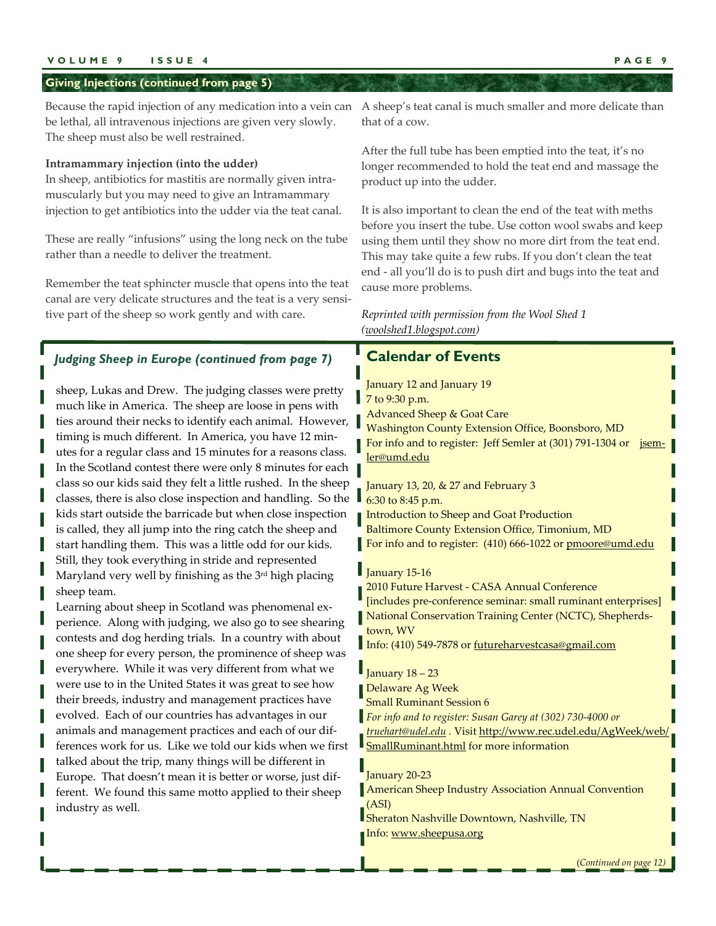#### **VOLUME 9 ISSUE 4 PAGE 9**

#### **Giving Injections (continued from page 5)**

Because the rapid injection of any medication into a vein can A sheep's teat canal is much smaller and more delicate than be lethal, all intravenous injections are given very slowly. The sheep must also be well restrained.

#### **Intramammary injection (into the udder)**

In sheep, antibiotics for mastitis are normally given intra‐ muscularly but you may need to give an Intramammary injection to get antibiotics into the udder via the teat canal.

These are really "infusions" using the long neck on the tube rather than a needle to deliver the treatment.

Remember the teat sphincter muscle that opens into the teat canal are very delicate structures and the teat is a very sensitive part of the sheep so work gently and with care.

*Judging Sheep in Europe (continued from page 7)*

kids start outside the barricade but when close inspection is called, they all jump into the ring catch the sheep and start handling them. This was a little odd for our kids. Still, they took everything in stride and represented Maryland very well by finishing as the 3<sup>rd</sup> high placing

Learning about sheep in Scotland was phenomenal ex‐ perience. Along with judging, we also go to see shearing contests and dog herding trials. In a country with about one sheep for every person, the prominence of sheep was everywhere. While it was very different from what we were use to in the United States it was great to see how their breeds, industry and management practices have evolved. Each of our countries has advantages in our animals and management practices and each of our dif‐ ferences work for us. Like we told our kids when we first talked about the trip, many things will be different in Europe. That doesn't mean it is better or worse, just dif‐ ferent. We found this same motto applied to their sheep

sheep team.

industry as well.

that of a cow.

After the full tube has been emptied into the teat, it's no longer recommended to hold the teat end and massage the product up into the udder.

It is also important to clean the end of the teat with meths before you insert the tube. Use cotton wool swabs and keep using them until they show no more dirt from the teat end. This may take quite a few rubs. If you don't clean the teat end ‐ all you'll do is to push dirt and bugs into the teat and cause more problems.

#### *Reprinted with permission from the Wool Shed 1 (woolshed1.blogspot.com)*

# **Calendar of Events**

sheep, Lukas and Drew. The judging classes were pretty much like in America. The sheep are loose in pens with ties around their necks to identify each animal. However, timing is much different. In America, you have 12 minutes for a regular class and 15 minutes for a reasons class. In the Scotland contest there were only 8 minutes for each class so our kids said they felt a little rushed. In the sheep classes, there is also close inspection and handling. So the January 12 and January 19 7 to 9:30 p.m. Advanced Sheep & Goat Care Washington County Extension Office, Boonsboro, MD For info and to register: Jeff Semler at (301) 791-1304 or **jsem**ler@umd.edu January 13, 20, & 27 and February 3

6:30 to 8:45 p.m. Introduction to Sheep and Goat Production Baltimore County Extension Office, Timonium, MD For info and to register: (410) 666-1022 or pmoore@umd.edu

#### January 15-16

2010 Future Harvest ‐ CASA Annual Conference [includes pre-conference seminar: small ruminant enterprises] National Conservation Training Center (NCTC), Shepherds‐ town, WV Info: (410) 549-7878 or futureharvestcasa@gmail.com

 $\blacksquare$  January 18 – 23 Delaware Ag Week Small Ruminant Session 6 *For info and to register: Susan Garey at (302) 730‐4000 or truehart@udel.edu .* Visit http://www.rec.udel.edu/AgWeek/web/ **SmallRuminant.html** for more information

January 20‐23

American Sheep Industry Association Annual Convention (ASI)

Sheraton Nashville Downtown, Nashville, TN Info: www.sheepusa.org